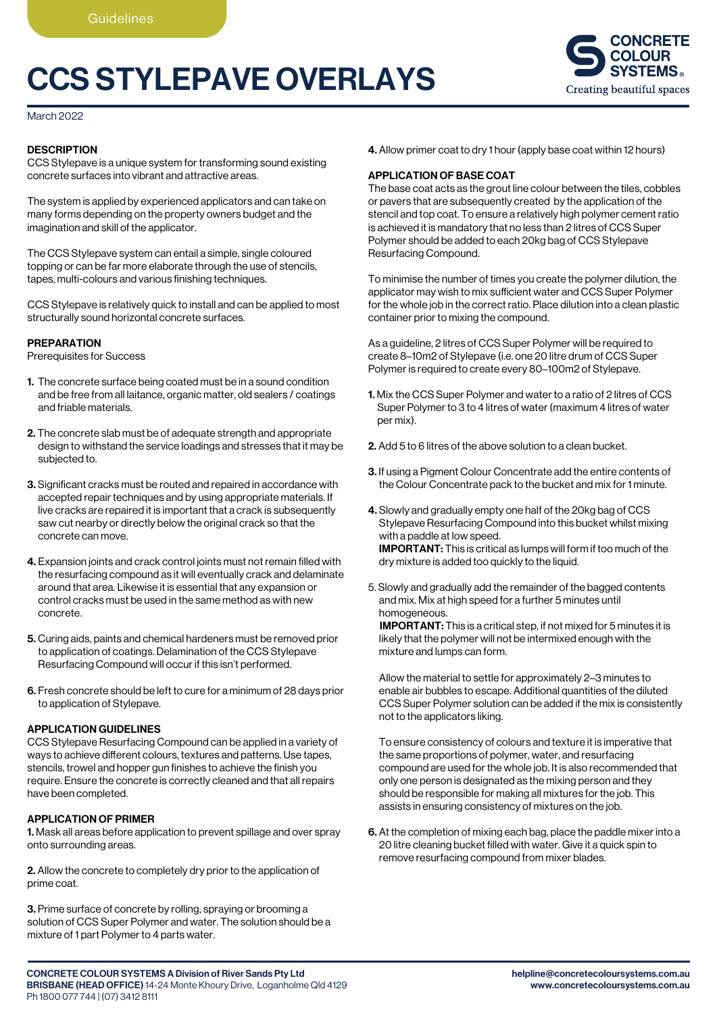# CCS STYLEPAVE OVERLAYS



March 2022

## **DESCRIPTION**

CCS Stylepave is a unique system for transforming sound existing concrete surfaces into vibrant and attractive areas.

The system is applied by experienced applicators and can take on many forms depending on the property owners budget and the imagination and skill of the applicator.

The CCS Stylepave system can entail a simple, single coloured topping or can be far more elaborate through the use of stencils, tapes, multi-colours and various finishing techniques.

CCS Stylepave is relatively quick to install and can be applied to most structurally sound horizontal concrete surfaces.

## PREPARATION

Prerequisites for Success

- 1. The concrete surface being coated must be in a sound condition and be free from all laitance, organic matter, old sealers / coatings and friable materials.
- 2. The concrete slab must be of adequate strength and appropriate design to withstand the service loadings and stresses that it may be subjected to.
- 3. Significant cracks must be routed and repaired in accordance with accepted repair techniques and by using appropriate materials. If live cracks are repaired it is important that a crack is subsequently saw cut nearby or directly below the original crack so that the concrete can move.
- 4. Expansion joints and crack control joints must not remain filled with the resurfacing compound as it will eventually crack and delaminate around that area. Likewise it is essential that any expansion or control cracks must be used in the same method as with new concrete.
- 5. Curing aids, paints and chemical hardeners must be removed prior to application of coatings. Delamination of the CCS Stylepave Resurfacing Compound will occur if this isn't performed.
- 6. Fresh concrete should be left to cure for a minimum of 28 days prior to application of Stylepave.

## APPLICATION GUIDELINES

CCS Stylepave Resurfacing Compound can be applied in a variety of ways to achieve different colours, textures and patterns. Use tapes, stencils, trowel and hopper gun finishes to achieve the finish you require. Ensure the concrete is correctly cleaned and that all repairs have been completed.

### APPLICATION OF PRIMER

1. Mask all areas before application to prevent spillage and over spray onto surrounding areas.

2. Allow the concrete to completely dry prior to the application of prime coat.

3. Prime surface of concrete by rolling, spraying or brooming a solution of CCS Super Polymer and water. The solution should be a mixture of 1 part Polymer to 4 parts water.

4. Allow primer coat to dry 1 hour (apply base coat within 12 hours)

# APPLICATION OF BASE COAT

The base coat acts as the grout line colour between the tiles, cobbles or pavers that are subsequently created by the application of the stencil and top coat. To ensure a relatively high polymer cement ratio is achieved it is mandatory that no less than 2 litres of CCS Super Polymer should be added to each 20kg bag of CCS Stylepave Resurfacing Compound.

To minimise the number of times you create the polymer dilution, the applicator may wish to mix sufficient water and CCS Super Polymer for the whole job in the correct ratio. Place dilution into a clean plastic container prior to mixing the compound.

As a guideline, 2 litres of CCS Super Polymer will be required to create 8–10m2 of Stylepave (i.e. one 20 litre drum of CCS Super Polymer is required to create every 80–100m2 of Stylepave.

- 1. Mix the CCS Super Polymer and water to a ratio of 2 litres of CCS Super Polymer to 3 to 4 litres of water (maximum 4 litres of water per mix).
- 2. Add 5 to 6 litres of the above solution to a clean bucket.
- 3. If using a Pigment Colour Concentrate add the entire contents of the Colour Concentrate pack to the bucket and mix for 1 minute.
- 4. Slowly and gradually empty one half of the 20kg bag of CCS Stylepave Resurfacing Compound into this bucket whilst mixing with a paddle at low speed. IMPORTANT: This is critical as lumps will form if too much of the dry mixture is added too quickly to the liquid.
- 5. Slowly and gradually add the remainder of the bagged contents and mix. Mix at high speed for a further 5 minutes until homogeneous.

 IMPORTANT: This is a critical step, if not mixed for 5 minutes it is likely that the polymer will not be intermixed enough with the mixture and lumps can form.

 Allow the material to settle for approximately 2–3 minutes to enable air bubbles to escape. Additional quantities of the diluted CCS Super Polymer solution can be added if the mix is consistently not to the applicators liking.

 To ensure consistency of colours and texture it is imperative that the same proportions of polymer, water, and resurfacing compound are used for the whole job. It is also recommended that only one person is designated as the mixing person and they should be responsible for making all mixtures for the job. This assists in ensuring consistency of mixtures on the job.

6. At the completion of mixing each bag, place the paddle mixer into a 20 litre cleaning bucket filled with water. Give it a quick spin to remove resurfacing compound from mixer blades.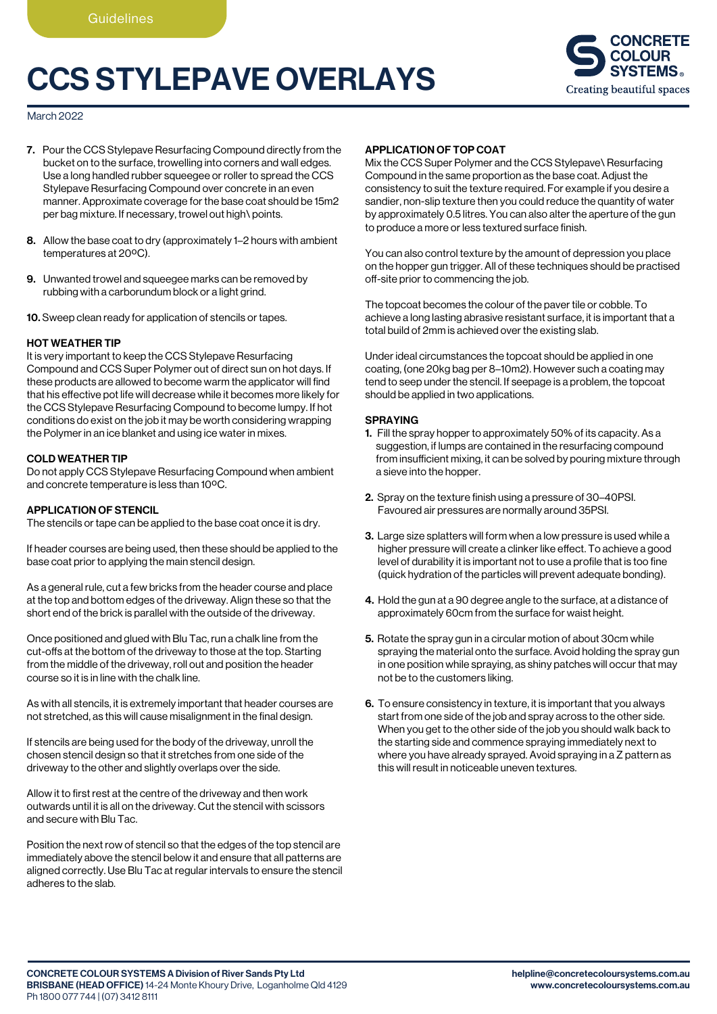# CCS STYLEPAVE OVERLAYS



## March 2022

- 7. Pour the CCS Stylepave Resurfacing Compound directly from the bucket on to the surface, trowelling into corners and wall edges. Use a long handled rubber squeegee or roller to spread the CCS Stylepave Resurfacing Compound over concrete in an even manner. Approximate coverage for the base coat should be 15m2 per bag mixture. If necessary, trowel out high\ points.
- 8. Allow the base coat to dry (approximately 1–2 hours with ambient temperatures at 20ºC).
- 9. Unwanted trowel and squeegee marks can be removed by rubbing with a carborundum block or a light grind.

10. Sweep clean ready for application of stencils or tapes.

## HOT WEATHER TIP

It is very important to keep the CCS Stylepave Resurfacing Compound and CCS Super Polymer out of direct sun on hot days. If these products are allowed to become warm the applicator will find that his effective pot life will decrease while it becomes more likely for the CCS Stylepave Resurfacing Compound to become lumpy. If hot conditions do exist on the job it may be worth considering wrapping the Polymer in an ice blanket and using ice water in mixes.

## COLD WEATHER TIP

Do not apply CCS Stylepave Resurfacing Compound when ambient and concrete temperature is less than 10ºC.

#### APPLICATION OF STENCIL

The stencils or tape can be applied to the base coat once it is dry.

If header courses are being used, then these should be applied to the base coat prior to applying the main stencil design.

As a general rule, cut a few bricks from the header course and place at the top and bottom edges of the driveway. Align these so that the short end of the brick is parallel with the outside of the driveway.

Once positioned and glued with Blu Tac, run a chalk line from the cut-offs at the bottom of the driveway to those at the top. Starting from the middle of the driveway, roll out and position the header course so it is in line with the chalk line.

As with all stencils, it is extremely important that header courses are not stretched, as this will cause misalignment in the final design.

If stencils are being used for the body of the driveway, unroll the chosen stencil design so that it stretches from one side of the driveway to the other and slightly overlaps over the side.

Allow it to first rest at the centre of the driveway and then work outwards until it is all on the driveway. Cut the stencil with scissors and secure with Blu Tac.

Position the next row of stencil so that the edges of the top stencil are immediately above the stencil below it and ensure that all patterns are aligned correctly. Use Blu Tac at regular intervals to ensure the stencil adheres to the slab.

# APPLICATION OF TOP COAT

Mix the CCS Super Polymer and the CCS Stylepave\ Resurfacing Compound in the same proportion as the base coat. Adjust the consistency to suit the texture required. For example if you desire a sandier, non-slip texture then you could reduce the quantity of water by approximately 0.5 litres. You can also alter the aperture of the gun to produce a more or less textured surface finish.

You can also control texture by the amount of depression you place on the hopper gun trigger. All of these techniques should be practised off-site prior to commencing the job.

The topcoat becomes the colour of the paver tile or cobble. To achieve a long lasting abrasive resistant surface, it is important that a total build of 2mm is achieved over the existing slab.

Under ideal circumstances the topcoat should be applied in one coating, (one 20kg bag per 8–10m2). However such a coating may tend to seep under the stencil. If seepage is a problem, the topcoat should be applied in two applications.

#### **SPRAYING**

- 1. Fill the spray hopper to approximately 50% of its capacity. As a suggestion, if lumps are contained in the resurfacing compound from insufficient mixing, it can be solved by pouring mixture through a sieve into the hopper.
- 2. Spray on the texture finish using a pressure of 30–40PSI. Favoured air pressures are normally around 35PSI.
- 3. Large size splatters will form when a low pressure is used while a higher pressure will create a clinker like effect. To achieve a good level of durability it is important not to use a profile that is too fine (quick hydration of the particles will prevent adequate bonding).
- 4. Hold the gun at a 90 degree angle to the surface, at a distance of approximately 60cm from the surface for waist height.
- 5. Rotate the spray gun in a circular motion of about 30cm while spraying the material onto the surface. Avoid holding the spray gun in one position while spraying, as shiny patches will occur that may not be to the customers liking.
- 6. To ensure consistency in texture, it is important that you always start from one side of the job and spray across to the other side. When you get to the other side of the job you should walk back to the starting side and commence spraying immediately next to where you have already sprayed. Avoid spraying in a Z pattern as this will result in noticeable uneven textures.